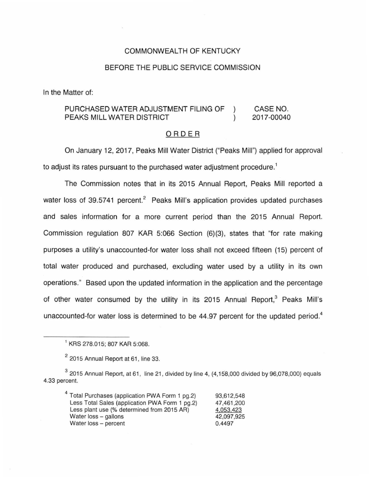## COMMONWEALTH OF KENTUCKY

### BEFORE THE PUBLIC SERVICE COMMISSION

In the Matter of:

#### PURCHASED WATER ADJUSTMENT FILING OF CASE NO.  $\lambda$ 2017-00040 PEAKS MILL WATER DISTRICT

## ORDER

On January 12, 2017, Peaks Mill Water District ("Peaks Mill") applied for approval to adjust its rates pursuant to the purchased water adjustment procedure.<sup>1</sup>

The Commission notes that in its 2015 Annual Report, Peaks Mill reported a water loss of 39.5741 percent.<sup>2</sup> Peaks Mill's application provides updated purchases and sales information for a more current period than the 2015 Annual Report. Commission regulation 807 KAR 5:066 Section (6)(3}, states that "for rate making purposes a utility's unaccounted-for water loss shall not exceed fifteen (15} percent of total water produced and purchased, excluding water used by a utility in its own operations." Based upon the updated information in the application and the percentage of other water consumed by the utility in its 2015 Annual Report, $3$  Peaks Mill's unaccounted-for water loss is determined to be  $44.97$  percent for the updated period.<sup>4</sup>

<sup>4</sup>Total Purchases (application PWA Form 1 pg.2) Less Total Sales (application PWA Form 1 pg.2) Less plant use (% determined from 2015 AR) Water loss - gallons Water loss - percent 93,612,548 47,461 ,200 4,053.423 42,097,925 0.4497

<sup>1</sup>KRS 278.015; 807 KAR 5:068.

 $2$  2015 Annual Report at 61, line 33.

 $3$  2015 Annual Report, at 61, line 21, divided by line 4, (4,158,000 divided by 96,078,000) equals 4.33 percent.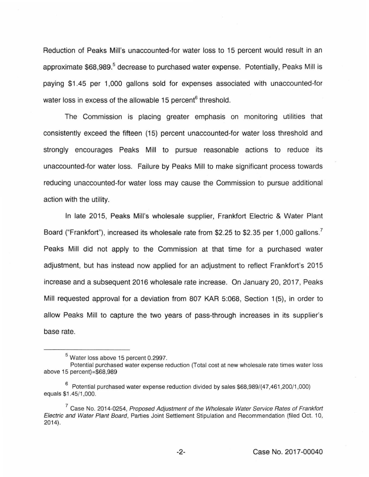Reduction of Peaks Mill's unaccounted-for water loss to 15 percent would result in an approximate \$68,989.<sup>5</sup> decrease to purchased water expense. Potentially, Peaks Mill is paying \$1.45 per 1,000 gallons sold for expenses associated with unaccounted-for water loss in excess of the allowable 15 percent<sup>6</sup> threshold.

The Commission is placing greater emphasis on monitoring utilities that consistently exceed the fifteen (15) percent unaccounted-for water loss threshold and strongly encourages Peaks Mill to pursue reasonable actions to reduce its unaccounted-for water loss. Failure by Peaks Mill to make significant process towards reducing unaccounted-for water loss may cause the Commission to pursue additional action with the utility.

In late 2015, Peaks Mill's wholesale supplier, Frankfort Electric & Water Plant Board ("Frankfort"), increased its wholesale rate from \$2.25 to \$2.35 per 1,000 gallons.<sup>7</sup> Peaks Mill did not apply to the Commission at that time for a purchased water adjustment, but has instead now applied for an adjustment to reflect Frankfort's 2015 increase and a subsequent 2016 wholesale rate increase. On January 20, 2017, Peaks Mill requested approval for a deviation from 807 KAR 5:068, Section 1(5), in order to allow Peaks Mill to capture the two years of pass-through increases in its supplier's base rate.

<sup>5</sup>Water loss above 15 percent 0.2997.

Potential purchased water expense reduction (Total cost at new wholesale rate times water loss above 15 percent)=\$68,989

 $6$  Potential purchased water expense reduction divided by sales \$68,989/(47,461,200/1,000) equals \$1 .45/1 ,000.

 $7$  Case No. 2014-0254, Proposed Adjustment of the Wholesale Water Service Rates of Frankfort Electric and Water Plant Board, Parties Joint Settlement Stipulation and Recommendation (filed Oct. 10, 2014}.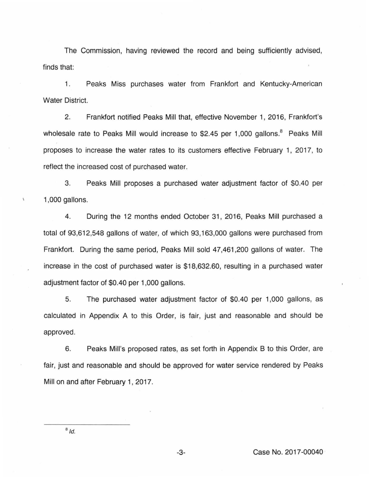The Commission, having reviewed the record and being sufficiently advised, finds that:

1. Peaks Miss purchases water from Frankfort and Kentucky-American Water District.

2. Frankfort notified Peaks Mill that, effective November 1, 2016, Frankfort's wholesale rate to Peaks Mill would increase to \$2.45 per 1,000 gallons.<sup>8</sup> Peaks Mill proposes to increase the water rates to its customers effective February 1, 2017, to reflect the increased cost of purchased water.

3. Peaks Mill proposes a purchased water adjustment factor of \$0.40 per 1 ,000 gallons.

4. During the 12 months ended October 31 , 2016, Peaks Mill purchased a total of 93,612,548 gallons of water, of which 93,163,000 gallons were purchased from Frankfort. During the same period, Peaks Mill sold 47,461 ,200 gallons of water. The increase in the cost of purchased water is \$18,632.60, resulting in a purchased water adjustment factor of \$0.40 per 1 ,000 gallons.

5. The purchased water adjustment factor of \$0.40 per 1,000 gallons, as calculated in Appendix A to this Order, is fair, just and reasonable and should be approved.

6. Peaks Mill's proposed rates, as set forth in Appendix B to this Order, are fair, just and reasonable and should be approved for water service rendered by Peaks Mill on and after February 1, 2017.

 $8/d$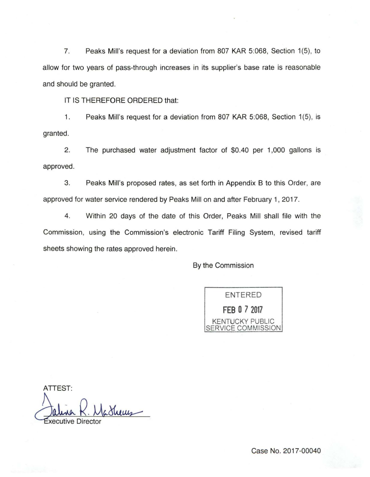7. Peaks Mill's request for a deviation from 807 KAR 5:068, Section 1(5), to allow for two years of pass-through increases in its supplier's base rate is reasonable and should be granted.

IT IS THEREFORE ORDERED that:

1. Peaks Mill's request for a deviation from 807 KAR 5:068, Section 1(5), is granted.

2. The purchased water adjustment factor of \$0.40 per 1,000 gallons is approved.

3. Peaks Mill's proposed rates, as set forth in Appendix 8 to this Order, are approved for water service rendered by Peaks Mill on and after February 1, 2017.

4 . Within 20 days of the date of this Order, Peaks Mill shall file with the Commission, using the Commission's electronic Tariff Filing System, revised tariff sheets showing the rates approved herein.

By the Commission

ENTERED **FEB 0 7 <sup>2017</sup>** KENTUCKY PUBLIC SERVICE COMMISSION

ATTEST: Jalina K. Madheus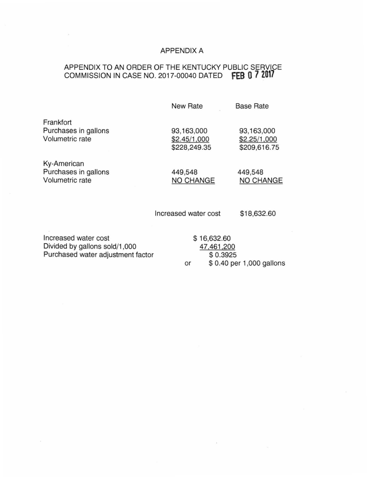# APPENDIX A

# APPENDIX TO AN ORDER OF THE KENTUCKY PUBLIC SERVICE COMMISSION IN CASE NO. 2017-00040 DATED **fEB 0 7 2017**

|                                                                                            | New Rate                                   | <b>Base Rate</b>                           |
|--------------------------------------------------------------------------------------------|--------------------------------------------|--------------------------------------------|
| Frankfort<br>Purchases in gallons<br>Volumetric rate                                       | 93,163,000<br>\$2.45/1,000<br>\$228,249.35 | 93,163,000<br>\$2.25/1,000<br>\$209,616.75 |
| Ky-American<br>Purchases in gallons<br>Volumetric rate                                     | 449,548<br>NO CHANGE                       | 449,548<br>NO CHANGE                       |
|                                                                                            | Increased water cost                       | \$18,632.60                                |
| Increased water cost<br>Divided by gallons sold/1,000<br>Purchased water adjustment factor | \$16,632.60<br>47,461,200<br>\$0.3925      |                                            |

\$0.3925 or \$ 0.40 per 1 ,000 gallons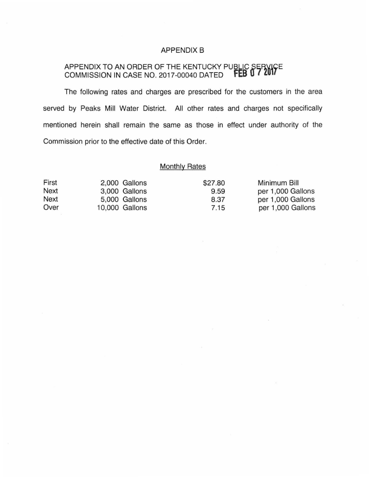## APPENDIX B

## APPENDIX TO AN ORDER OF THE KENTUCKY PU<u>BLIC SERVI</u>CE COMMISSION IN CASE NO. 2017-00040 DATED **fEB U /ZUl**

The following rates and charges are prescribed for the customers in the area served by Peaks Mill Water District. All other rates and charges not specifically mentioned herein shall remain the same as those in effect under authority of the Commission prior to the effective date of this Order.

# **Monthly Rates**

| First       | 2,000 Gallons  | \$27.80 | Minimum Bill      |
|-------------|----------------|---------|-------------------|
| Next        | 3,000 Gallons  | 9.59    | per 1,000 Gallons |
| <b>Next</b> | 5,000 Gallons  | 8.37    | per 1,000 Gallons |
| Over        | 10,000 Gallons | 7.15    | per 1,000 Gallons |